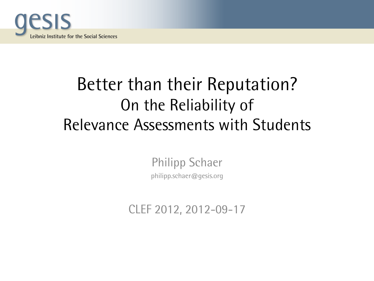

# Better than their Reputation? On the Reliability of Relevance Assessments with Students

Philipp Schaer philipp.schaer@gesis.org

CLEF 2012, 2012-09-17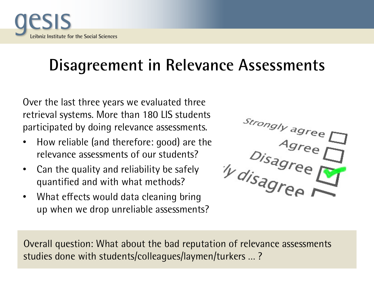

### **Disagreement in Relevance Assessments**

Over the last three years we evaluated three retrieval systems. More than 180 LIS students participated by doing relevance assessments.

- How reliable (and therefore: good) are the relevance assessments of our students?
- Can the quality and reliability be safely quantified and with what methods?
- What effects would data cleaning bring up when we drop unreliable assessments?



Overall question: What about the bad reputation of relevance assessments studies done with students/colleagues/laymen/turkers … ?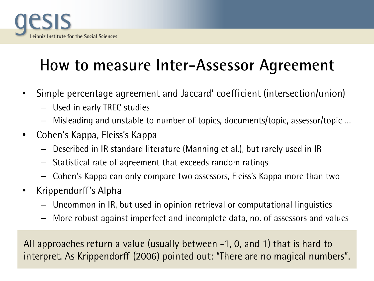

# **How to measure Inter-Assessor Agreement**

- Simple percentage agreement and Jaccard' coefficient (intersection/union)
	- Used in early TREC studies
	- Misleading and unstable to number of topics, documents/topic, assessor/topic …
- Cohen's Kappa, Fleiss's Kappa
	- Described in IR standard literature (Manning et al.), but rarely used in IR
	- Statistical rate of agreement that exceeds random ratings
	- Cohen's Kappa can only compare two assessors, Fleiss's Kappa more than two
- Krippendorff's Alpha
	- Uncommon in IR, but used in opinion retrieval or computational linguistics
	- More robust against imperfect and incomplete data, no. of assessors and values

All approaches return a value (usually between -1, 0, and 1) that is hard to interpret. As Krippendorff (2006) pointed out: "There are no magical numbers".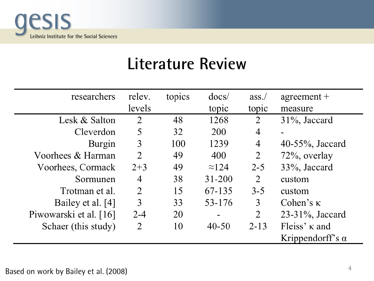

#### **Literature Review**

| researchers            | relev.         | topics | docs/         | ass.           | $agreement +$           |  |  |
|------------------------|----------------|--------|---------------|----------------|-------------------------|--|--|
|                        | levels         |        | topic         | topic          | measure                 |  |  |
| Lesk & Salton          | 2              | 48     | 1268          | 2              | $31\%$ , Jaccard        |  |  |
| Cleverdon              | 5              | 32     | 200           | 4              |                         |  |  |
| Burgin                 | 3              | 100    | 1239          | 4              | $40-55\%$ , Jaccard     |  |  |
| Voorhees & Harman      | 2              | 49     | 400           | 2              | 72\%, overlay           |  |  |
| Voorhees, Cormack      | $2 + 3$        | 49     | $\approx$ 124 | $2 - 5$        | 33%, Jaccard            |  |  |
| Sormunen               | 4              | 38     | $31 - 200$    | 2              | custom                  |  |  |
| Trotman et al.         | $\overline{2}$ | 15     | 67-135        | $3 - 5$        | custom                  |  |  |
| Bailey et al. [4]      | 3              | 33     | 53-176        | 3              | Cohen's $\kappa$        |  |  |
| Piwowarski et al. [16] | $2 - 4$        | 20     |               | $\overline{2}$ | $23-31\%$ , Jaccard     |  |  |
| Schaer (this study)    | 2              | 10     | $40 - 50$     | $2 - 13$       | Fleiss' $\kappa$ and    |  |  |
|                        |                |        |               |                | Krippendorff's $\alpha$ |  |  |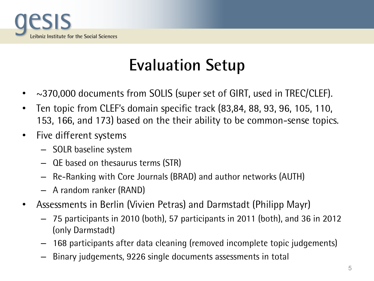

### **Evaluation Setup**

- ~370,000 documents from SOLIS (super set of GIRT, used in TREC/CLEF).
- Ten topic from CLEF's domain specific track (83,84, 88, 93, 96, 105, 110, 153, 166, and 173) based on the their ability to be common-sense topics.
- Five different systems
	- SOLR baseline system
	- QE based on thesaurus terms (STR)
	- Re-Ranking with Core Journals (BRAD) and author networks (AUTH)
	- A random ranker (RAND)
- Assessments in Berlin (Vivien Petras) and Darmstadt (Philipp Mayr)
	- 75 participants in 2010 (both), 57 participants in 2011 (both), and 36 in 2012 (only Darmstadt)
	- 168 participants after data cleaning (removed incomplete topic judgements)
	- Binary judgements, 9226 single documents assessments in total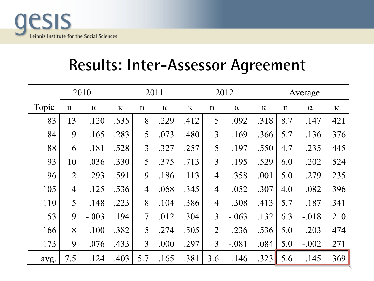

#### **Results: Inter-Assessor Agreement**

|       |     | 2010     |      |                | 2011     |      |                | 2012     |      | Average |          |      |  |  |
|-------|-----|----------|------|----------------|----------|------|----------------|----------|------|---------|----------|------|--|--|
| Topic | n   | $\alpha$ | ĸ    | n              | $\alpha$ | ĸ    | n              | $\alpha$ | ĸ    | n       | $\alpha$ | ĸ    |  |  |
| 83    | 13  | .120     | .535 | 8              | .229     | .412 | 5              | .092     | .318 | 8.7     | .147     | .421 |  |  |
| 84    | 9   | .165     | .283 | 5              | .073     | .480 | 3              | .169     | .366 | 5.7     | .136     | .376 |  |  |
| 88    | 6   | .181     | .528 | 3              | .327     | .257 | 5              | .197     | .550 | 4.7     | .235     | .445 |  |  |
| 93    | 10  | .036     | .330 | 5              | .375     | .713 | 3              | .195     | .529 | 6.0     | .202     | .524 |  |  |
| 96    | 2   | .293     | .591 | 9              | .186     | .113 | 4              | .358     | .001 | 5.0     | .279     | .235 |  |  |
| 105   | 4   | .125     | .536 | $\overline{4}$ | .068     | .345 | $\overline{4}$ | .052     | .307 | 4.0     | .082     | .396 |  |  |
| 110   | 5   | .148     | .223 | 8              | .104     | .386 | 4              | .308     | .413 | 5.7     | .187     | .341 |  |  |
| 153   | 9   | $-.003$  | .194 | 7              | .012     | .304 | 3              | $-.063$  | .132 | 6.3     | $-.018$  | .210 |  |  |
| 166   | 8   | .100     | .382 | 5              | .274     | .505 | $\overline{2}$ | .236     | .536 | 5.0     | .203     | .474 |  |  |
| 173   | 9   | .076     | .433 | 3              | .000     | .297 | 3              | $-.081$  | .084 | 5.0     | $-.002$  | .271 |  |  |
| avg.  | 7.5 | .124     | .403 | 5.7            | .165     | .381 | 3.6            | .146     | .323 | 5.6     | .145     | .369 |  |  |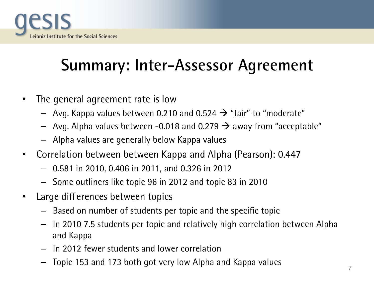

# **Summary: Inter-Assessor Agreement**

- The general agreement rate is low
	- $-$  Avg. Kappa values between 0.210 and 0.524  $\rightarrow$  "fair" to "moderate"
	- $-$  Avg. Alpha values between -0.018 and 0.279  $\rightarrow$  away from "acceptable"
	- Alpha values are generally below Kappa values
- Correlation between between Kappa and Alpha (Pearson): 0.447
	- 0.581 in 2010, 0.406 in 2011, and 0.326 in 2012
	- Some outliners like topic 96 in 2012 and topic 83 in 2010
- Large differences between topics
	- Based on number of students per topic and the specific topic
	- In 2010 7.5 students per topic and relatively high correlation between Alpha and Kappa
	- In 2012 fewer students and lower correlation
	- Topic 153 and 173 both got very low Alpha and Kappa values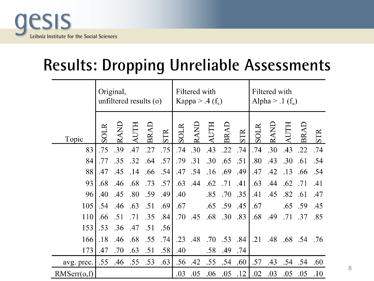

### **Results: Dropping Unreliable Assessments**

|             | Original,<br>unfiltered results $(o)$ |             |     |     |     |             | Filtered with<br>Kappa > .4 $(f_k)$ |             |         |            |      | Filtered with<br>Alpha > $.1(f_{\alpha})$ |     |             |     |  |
|-------------|---------------------------------------|-------------|-----|-----|-----|-------------|-------------------------------------|-------------|---------|------------|------|-------------------------------------------|-----|-------------|-----|--|
| Topic       | SOLR                                  | <b>TNND</b> |     | BRA | STR | <b>SOLR</b> | RAND                                | <b>AUTH</b> | BRAI    | <b>STR</b> | SOLR | RAND                                      |     | <b>BR</b>   | STR |  |
| 83          | .75                                   | .39         | .47 | .27 | .75 | .74         | .30                                 | .43         | .22     | .74        | .74  | .30                                       | .43 | .22         | .74 |  |
| 84          | .77                                   | .35         | .32 | .64 | .57 | .79         | .31                                 | .30         | .65     | .51        | .80  | .43                                       | .30 | .61         | .54 |  |
| 88          | .47                                   | .45         | .14 | .66 | .54 | .47         | .54                                 | .16         | .69     | .49        | .47  | .42                                       | .13 | .66         | .54 |  |
| 93          | .68                                   | .46         | .68 | .73 | .57 | .63         | .44                                 | .62         | .71     | .41        | .63  | .44                                       | .62 | .71         | .41 |  |
| 96          | .40                                   | .45         | .80 | .59 | .49 | .40         |                                     | .85         | .70     | .35        | .41  | .45                                       | .82 | .61         | .47 |  |
| 105         | .54                                   | .46         | .63 | .51 | .69 | .67         |                                     |             | .65 .59 | .45        | .67  |                                           | .65 | .59         | .45 |  |
| 110         | .66                                   | .51         | .71 | .35 | .84 | .70         | .45                                 |             | .68 .30 | .83        | .68  | .49                                       | .71 | .37         | .85 |  |
| 153         | .53                                   | .36         | .47 | .51 | .56 |             |                                     |             |         |            |      |                                           |     |             |     |  |
| 166         | .18                                   | .46         | .68 | .55 | .74 | .23         | .48                                 | .70         | .53     | .84        | .21  | .48                                       |     | .68 .54 .76 |     |  |
| 173         | .47                                   | .70         | .63 | .51 | .58 | .40         |                                     | .58         | .49     | .74        |      |                                           |     |             |     |  |
| avg. prec.  | .55                                   | .46 .55     |     | .53 | .63 | .56         | .42                                 | .55         | .54     | .60        | .57  | .43                                       | .54 | .54         | .60 |  |
| RMSerr(o,f) |                                       |             |     |     |     | .03         | .05                                 | .06         | .05     | .12        | .02  | .03                                       | .05 | .05         | .10 |  |

8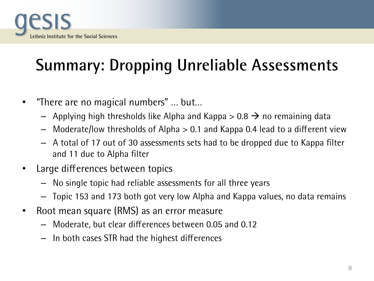

# **Summary: Dropping Unreliable Assessments**

- "There are no magical numbers" … but…
	- $-$  Applying high thresholds like Alpha and Kappa  $> 0.8 \rightarrow$  no remaining data
	- Moderate/low thresholds of Alpha > 0.1 and Kappa 0.4 lead to a different view
	- A total of 17 out of 30 assessments sets had to be dropped due to Kappa filter and 11 due to Alpha filter
- Large differences between topics
	- No single topic had reliable assessments for all three years
	- Topic 153 and 173 both got very low Alpha and Kappa values, no data remains
- Root mean square (RMS) as an error measure
	- Moderate, but clear differences between 0.05 and 0.12
	- In both cases STR had the highest differences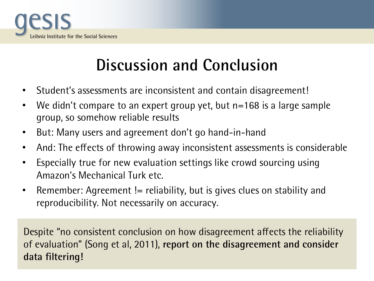

### **Discussion and Conclusion**

- Student's assessments are inconsistent and contain disagreement!
- We didn't compare to an expert group yet, but n=168 is a large sample group, so somehow reliable results
- But: Many users and agreement don't go hand-in-hand
- And: The effects of throwing away inconsistent assessments is considerable
- Especially true for new evaluation settings like crowd sourcing using Amazon's Mechanical Turk etc.
- Remember: Agreement != reliability, but is gives clues on stability and reproducibility. Not necessarily on accuracy.

Despite "no consistent conclusion on how disagreement affects the reliability of evaluation" (Song et al, 2011), **report on the disagreement and consider data filtering!**